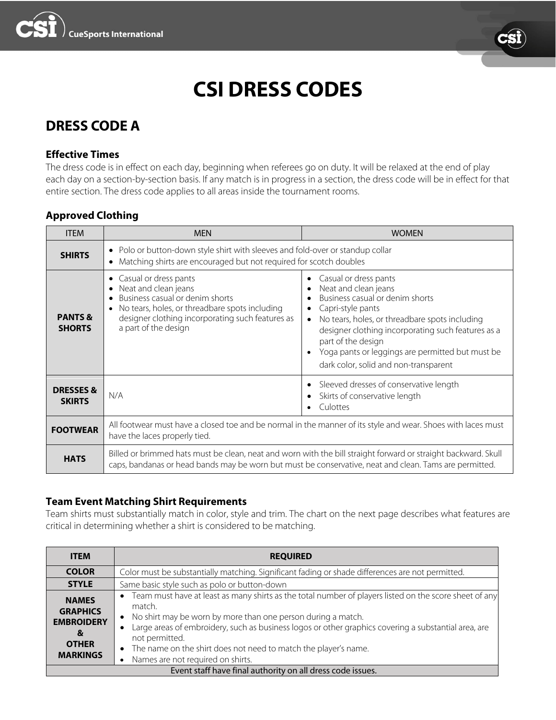



# **CSI DRESS CODES**

# **DRESS CODE A**

#### **Effective Times**

The dress code is in effect on each day, beginning when referees go on duty. It will be relaxed at the end of play each day on a section-by-section basis. If any match is in progress in a section, the dress code will be in effect for that entire section. The dress code applies to all areas inside the tournament rooms.

### **Approved Clothing**

| <b>ITEM</b>                          | <b>MEN</b>                                                                                                                                                                                                                  | <b>WOMEN</b>                                                                                                                                                                                                                                                                                                                                  |
|--------------------------------------|-----------------------------------------------------------------------------------------------------------------------------------------------------------------------------------------------------------------------------|-----------------------------------------------------------------------------------------------------------------------------------------------------------------------------------------------------------------------------------------------------------------------------------------------------------------------------------------------|
| <b>SHIRTS</b>                        | • Polo or button-down style shirt with sleeves and fold-over or standup collar<br>Matching shirts are encouraged but not required for scotch doubles                                                                        |                                                                                                                                                                                                                                                                                                                                               |
| <b>PANTS &amp;</b><br><b>SHORTS</b>  | Casual or dress pants<br>$\bullet$<br>Neat and clean jeans<br>Business casual or denim shorts<br>No tears, holes, or threadbare spots including<br>designer clothing incorporating such features as<br>a part of the design | Casual or dress pants<br>Neat and clean jeans<br>Business casual or denim shorts<br>Capri-style pants<br>$\bullet$<br>No tears, holes, or threadbare spots including<br>designer clothing incorporating such features as a<br>part of the design<br>Yoga pants or leggings are permitted but must be<br>dark color, solid and non-transparent |
| <b>DRESSES&amp;</b><br><b>SKIRTS</b> | N/A                                                                                                                                                                                                                         | Sleeved dresses of conservative length<br>Skirts of conservative length<br>Culottes                                                                                                                                                                                                                                                           |
| <b>FOOTWEAR</b>                      | All footwear must have a closed toe and be normal in the manner of its style and wear. Shoes with laces must<br>have the laces properly tied.                                                                               |                                                                                                                                                                                                                                                                                                                                               |
| <b>HATS</b>                          | Billed or brimmed hats must be clean, neat and worn with the bill straight forward or straight backward. Skull<br>caps, bandanas or head bands may be worn but must be conservative, neat and clean. Tams are permitted.    |                                                                                                                                                                                                                                                                                                                                               |

### **Team Event Matching Shirt Requirements**

Team shirts must substantially match in color, style and trim. The chart on the next page describes what features are critical in determining whether a shirt is considered to be matching.

| <b>ITEM</b>                                                                                  | <b>REQUIRED</b>                                                                                                                                                                                                                                                                                                                                                                                                                                               |  |  |
|----------------------------------------------------------------------------------------------|---------------------------------------------------------------------------------------------------------------------------------------------------------------------------------------------------------------------------------------------------------------------------------------------------------------------------------------------------------------------------------------------------------------------------------------------------------------|--|--|
| <b>COLOR</b>                                                                                 | Color must be substantially matching. Significant fading or shade differences are not permitted.                                                                                                                                                                                                                                                                                                                                                              |  |  |
| <b>STYLE</b>                                                                                 | Same basic style such as polo or button-down                                                                                                                                                                                                                                                                                                                                                                                                                  |  |  |
| <b>NAMES</b><br><b>GRAPHICS</b><br><b>EMBROIDERY</b><br>&<br><b>OTHER</b><br><b>MARKINGS</b> | • Team must have at least as many shirts as the total number of players listed on the score sheet of any<br>match.<br>• No shirt may be worn by more than one person during a match.<br>Large areas of embroidery, such as business logos or other graphics covering a substantial area, are<br>$\bullet$<br>not permitted.<br>The name on the shirt does not need to match the player's name.<br>$\bullet$<br>Names are not required on shirts.<br>$\bullet$ |  |  |
| Event staff have final authority on all dress code issues.                                   |                                                                                                                                                                                                                                                                                                                                                                                                                                                               |  |  |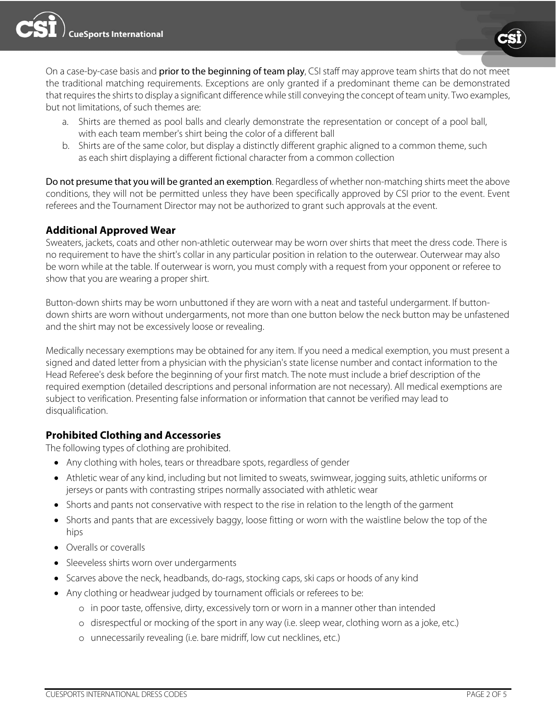



On a case-by-case basis and prior to the beginning of team play, CSI staff may approve team shirts that do not meet the traditional matching requirements. Exceptions are only granted if a predominant theme can be demonstrated that requires the shirts to display a significant difference while still conveying the concept of team unity. Two examples, but not limitations, of such themes are:

- a. Shirts are themed as pool balls and clearly demonstrate the representation or concept of a pool ball, with each team member's shirt being the color of a different ball
- b. Shirts are of the same color, but display a distinctly different graphic aligned to a common theme, such as each shirt displaying a different fictional character from a common collection

Do not presume that you will be granted an exemption. Regardless of whether non-matching shirts meet the above conditions, they will not be permitted unless they have been specifically approved by CSI prior to the event. Event referees and the Tournament Director may not be authorized to grant such approvals at the event.

### **Additional Approved Wear**

Sweaters, jackets, coats and other non-athletic outerwear may be worn over shirts that meet the dress code. There is no requirement to have the shirt's collar in any particular position in relation to the outerwear. Outerwear may also be worn while at the table. If outerwear is worn, you must comply with a request from your opponent or referee to show that you are wearing a proper shirt.

Button-down shirts may be worn unbuttoned if they are worn with a neat and tasteful undergarment. If buttondown shirts are worn without undergarments, not more than one button below the neck button may be unfastened and the shirt may not be excessively loose or revealing.

Medically necessary exemptions may be obtained for any item. If you need a medical exemption, you must present a signed and dated letter from a physician with the physician's state license number and contact information to the Head Referee's desk before the beginning of your first match. The note must include a brief description of the required exemption (detailed descriptions and personal information are not necessary). All medical exemptions are subject to verification. Presenting false information or information that cannot be verified may lead to disqualification.

### **Prohibited Clothing and Accessories**

The following types of clothing are prohibited.

- Any clothing with holes, tears or threadbare spots, regardless of gender
- Athletic wear of any kind, including but not limited to sweats, swimwear, jogging suits, athletic uniforms or jerseys or pants with contrasting stripes normally associated with athletic wear
- Shorts and pants not conservative with respect to the rise in relation to the length of the garment
- Shorts and pants that are excessively baggy, loose fitting or worn with the waistline below the top of the hips
- Overalls or coveralls
- Sleeveless shirts worn over undergarments
- Scarves above the neck, headbands, do-rags, stocking caps, ski caps or hoods of any kind
- Any clothing or headwear judged by tournament officials or referees to be:
	- o in poor taste, offensive, dirty, excessively torn or worn in a manner other than intended
	- o disrespectful or mocking of the sport in any way (i.e. sleep wear, clothing worn as a joke, etc.)
	- o unnecessarily revealing (i.e. bare midriff, low cut necklines, etc.)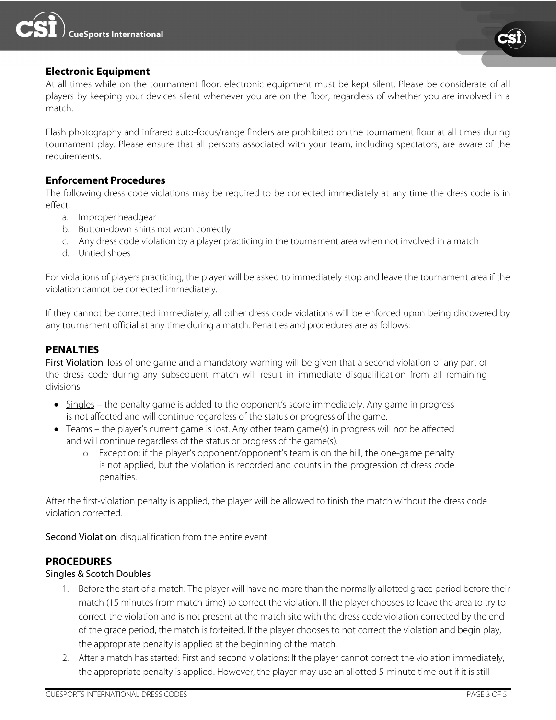

#### **Electronic Equipment**

At all times while on the tournament floor, electronic equipment must be kept silent. Please be considerate of all players by keeping your devices silent whenever you are on the floor, regardless of whether you are involved in a match.

Flash photography and infrared auto-focus/range finders are prohibited on the tournament floor at all times during tournament play. Please ensure that all persons associated with your team, including spectators, are aware of the requirements.

#### **Enforcement Procedures**

The following dress code violations may be required to be corrected immediately at any time the dress code is in effect:

- a. Improper headgear
- b. Button-down shirts not worn correctly
- c. Any dress code violation by a player practicing in the tournament area when not involved in a match
- d. Untied shoes

For violations of players practicing, the player will be asked to immediately stop and leave the tournament area if the violation cannot be corrected immediately.

If they cannot be corrected immediately, all other dress code violations will be enforced upon being discovered by any tournament official at any time during a match. Penalties and procedures are as follows:

#### **PENALTIES**

First Violation: loss of one game and a mandatory warning will be given that a second violation of any part of the dress code during any subsequent match will result in immediate disqualification from all remaining divisions.

- Singles the penalty game is added to the opponent's score immediately. Any game in progress is not affected and will continue regardless of the status or progress of the game.
- Teams the player's current game is lost. Any other team game(s) in progress will not be affected and will continue regardless of the status or progress of the game(s).
	- o Exception: if the player's opponent/opponent's team is on the hill, the one-game penalty is not applied, but the violation is recorded and counts in the progression of dress code penalties.

After the first-violation penalty is applied, the player will be allowed to finish the match without the dress code violation corrected.

Second Violation: disqualification from the entire event

### **PROCEDURES**

#### Singles & Scotch Doubles

- 1. Before the start of a match: The player will have no more than the normally allotted grace period before their match (15 minutes from match time) to correct the violation. If the player chooses to leave the area to try to correct the violation and is not present at the match site with the dress code violation corrected by the end of the grace period, the match is forfeited. If the player chooses to not correct the violation and begin play, the appropriate penalty is applied at the beginning of the match.
- 2. After a match has started: First and second violations: If the player cannot correct the violation immediately, the appropriate penalty is applied. However, the player may use an allotted 5-minute time out if it is still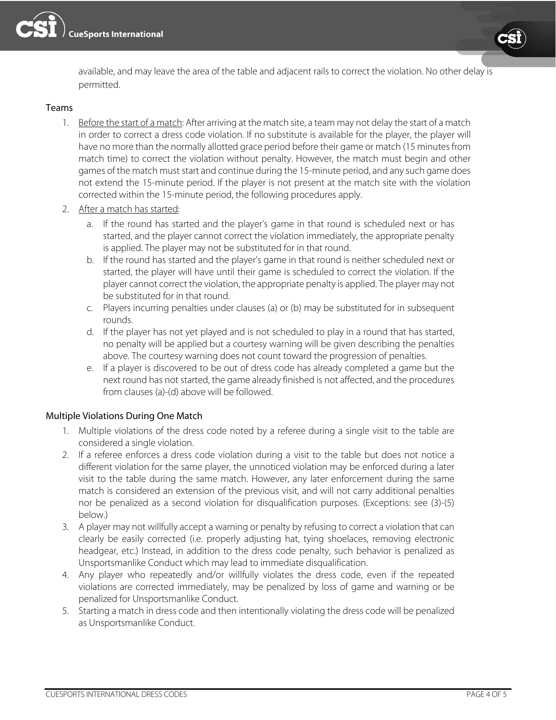



available, and may leave the area of the table and adjacent rails to correct the violation. No other delay is permitted.

#### Teams

- 1. Before the start of a match: After arriving at the match site, a team may not delay the start of a match in order to correct a dress code violation. If no substitute is available for the player, the player will have no more than the normally allotted grace period before their game or match (15 minutes from match time) to correct the violation without penalty. However, the match must begin and other games of the match must start and continue during the 15-minute period, and any such game does not extend the 15-minute period. If the player is not present at the match site with the violation corrected within the 15-minute period, the following procedures apply.
- 2. After a match has started:
	- a. If the round has started and the player's game in that round is scheduled next or has started, and the player cannot correct the violation immediately, the appropriate penalty is applied. The player may not be substituted for in that round.
	- b. If the round has started and the player's game in that round is neither scheduled next or started, the player will have until their game is scheduled to correct the violation. If the player cannot correct the violation, the appropriate penalty is applied. The player may not be substituted for in that round.
	- c. Players incurring penalties under clauses (a) or (b) may be substituted for in subsequent rounds.
	- d. If the player has not yet played and is not scheduled to play in a round that has started, no penalty will be applied but a courtesy warning will be given describing the penalties above. The courtesy warning does not count toward the progression of penalties.
	- e. If a player is discovered to be out of dress code has already completed a game but the next round has not started, the game already finished is not affected, and the procedures from clauses (a)-(d) above will be followed.

#### Multiple Violations During One Match

- 1. Multiple violations of the dress code noted by a referee during a single visit to the table are considered a single violation.
- 2. If a referee enforces a dress code violation during a visit to the table but does not notice a different violation for the same player, the unnoticed violation may be enforced during a later visit to the table during the same match. However, any later enforcement during the same match is considered an extension of the previous visit, and will not carry additional penalties nor be penalized as a second violation for disqualification purposes. (Exceptions: see (3)-(5) below.)
- 3. A player may not willfully accept a warning or penalty by refusing to correct a violation that can clearly be easily corrected (i.e. properly adjusting hat, tying shoelaces, removing electronic headgear, etc.) Instead, in addition to the dress code penalty, such behavior is penalized as Unsportsmanlike Conduct which may lead to immediate disqualification.
- 4. Any player who repeatedly and/or willfully violates the dress code, even if the repeated violations are corrected immediately, may be penalized by loss of game and warning or be penalized for Unsportsmanlike Conduct.
- 5. Starting a match in dress code and then intentionally violating the dress code will be penalized as Unsportsmanlike Conduct.